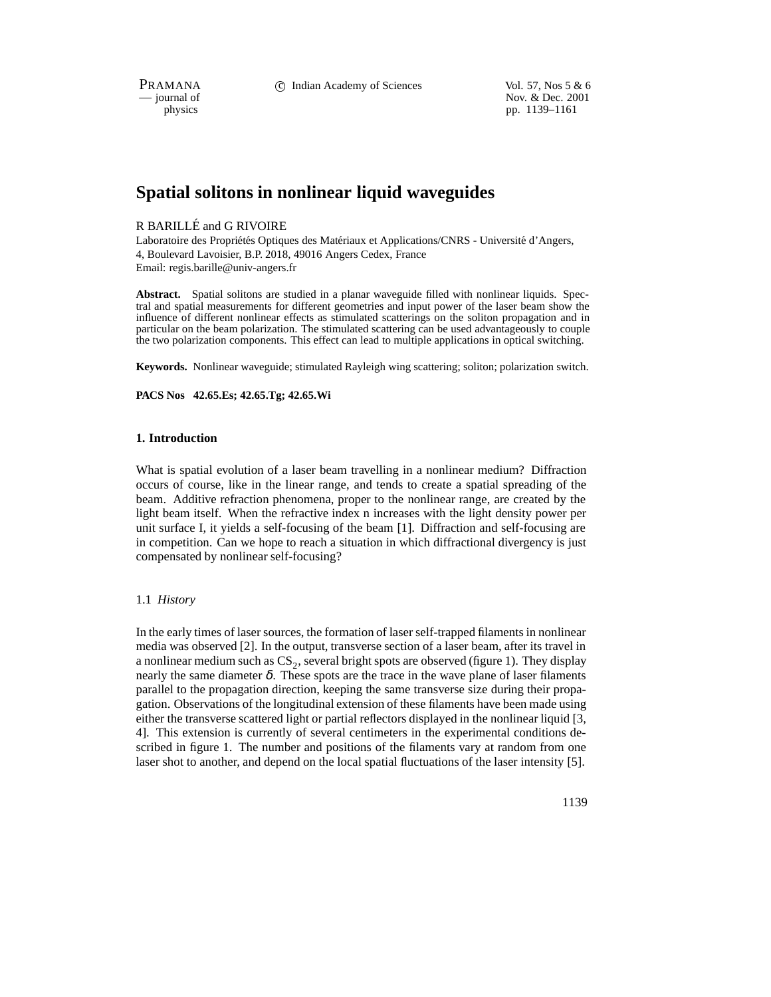PRAMANA 
c Indian Academy of Sciences Vol. 57, Nos 5 & 6<br>
iournal of Nov. & Dec. 2001 position of Nov. & Dec. 2001<br>
physics pp. 1139–1161 pp. 1139–1161

# **Spatial solitons in nonlinear liquid waveguides**

# R BARILLÉ and G RIVOIRE

Laboratoire des Propriétés Optiques des Matériaux et Applications/CNRS - Université d'Angers, 4, Boulevard Lavoisier, B.P. 2018, 49016 Angers Cedex, France Email: regis.barille@univ-angers.fr

**Abstract.** Spatial solitons are studied in a planar waveguide filled with nonlinear liquids. Spectral and spatial measurements for different geometries and input power of the laser beam show the influence of different nonlinear effects as stimulated scatterings on the soliton propagation and in particular on the beam polarization. The stimulated scattering can be used advantageously to couple the two polarization components. This effect can lead to multiple applications in optical switching.

**Keywords.** Nonlinear waveguide; stimulated Rayleigh wing scattering; soliton; polarization switch.

**PACS Nos 42.65.Es; 42.65.Tg; 42.65.Wi**

# **1. Introduction**

What is spatial evolution of a laser beam travelling in a nonlinear medium? Diffraction occurs of course, like in the linear range, and tends to create a spatial spreading of the beam. Additive refraction phenomena, proper to the nonlinear range, are created by the light beam itself. When the refractive index n increases with the light density power per unit surface I, it yields a self-focusing of the beam [1]. Diffraction and self-focusing are in competition. Can we hope to reach a situation in which diffractional divergency is just compensated by nonlinear self-focusing?

# 1.1 *History*

In the early times of laser sources, the formation of laser self-trapped filaments in nonlinear media was observed [2]. In the output, transverse section of a laser beam, after its travel in a nonlinear medium such as  $CS_2$ , several bright spots are observed (figure 1). They display nearly the same diameter  $\delta$ . These spots are the trace in the wave plane of laser filaments parallel to the propagation direction, keeping the same transverse size during their propagation. Observations of the longitudinal extension of these filaments have been made using either the transverse scattered light or partial reflectors displayed in the nonlinear liquid [3, 4]. This extension is currently of several centimeters in the experimental conditions described in figure 1. The number and positions of the filaments vary at random from one laser shot to another, and depend on the local spatial fluctuations of the laser intensity [5].

1139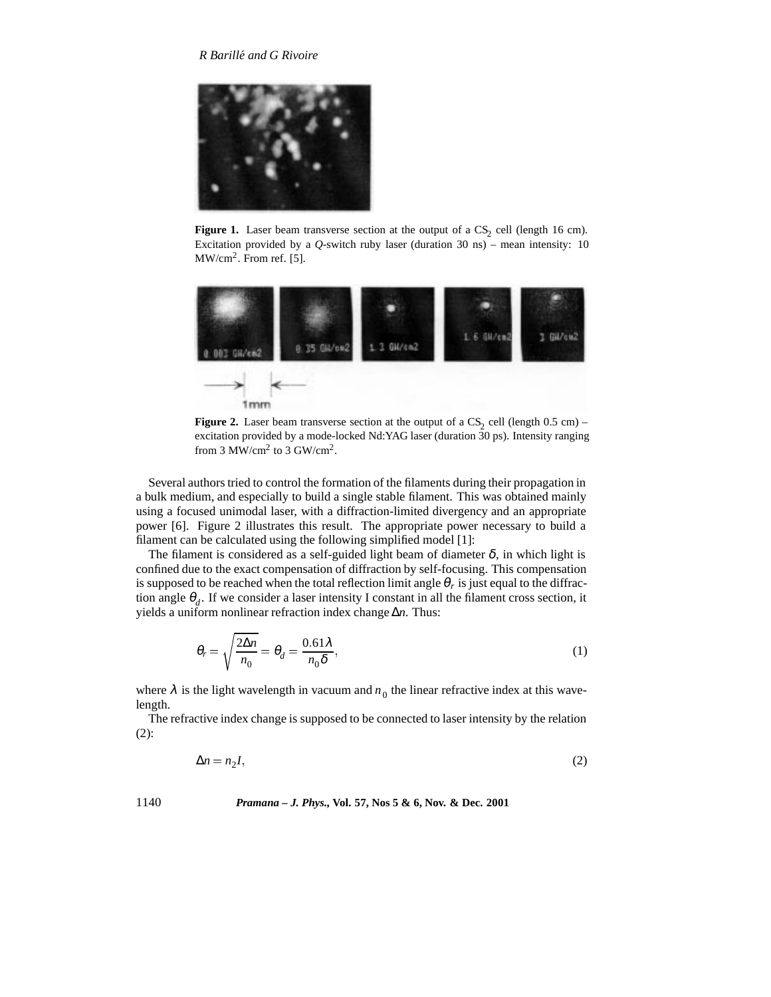

**Figure 1.** Laser beam transverse section at the output of a  $CS_2$  cell (length 16 cm). Excitation provided by a  $Q$ -switch ruby laser (duration 30 ns) – mean intensity: 10  $MW/cm<sup>2</sup>$ . From ref. [5].



**Figure 2.** Laser beam transverse section at the output of a  $CS_2$  cell (length 0.5 cm) – excitation provided by a mode-locked Nd:YAG laser (duration 30 ps). Intensity ranging from 3 MW/cm<sup>2</sup> to 3 GW/cm<sup>2</sup>.

Several authors tried to control the formation of the filaments during their propagation in a bulk medium, and especially to build a single stable filament. This was obtained mainly using a focused unimodal laser, with a diffraction-limited divergency and an appropriate power [6]. Figure 2 illustrates this result. The appropriate power necessary to build a filament can be calculated using the following simplified model [1]:

The filament is considered as a self-guided light beam of diameter  $\delta$ , in which light is confined due to the exact compensation of diffraction by self-focusing. This compensation is supposed to be reached when the total reflection limit angle  $\theta_r$  is just equal to the diffraction angle  $\theta_d$ . If we consider a laser intensity I constant in all the filament cross section, it yields a uniform nonlinear refraction index change ∆*n*. Thus:

$$
\theta_r = \sqrt{\frac{2\Delta n}{n_0}} = \theta_d = \frac{0.61\lambda}{n_0\delta},\tag{1}
$$

where  $\lambda$  is the light wavelength in vacuum and  $n_0$  the linear refractive index at this wavelength.

The refractive index change is supposed to be connected to laser intensity by the relation (2):

$$
\Delta n = n_2 I,\tag{2}
$$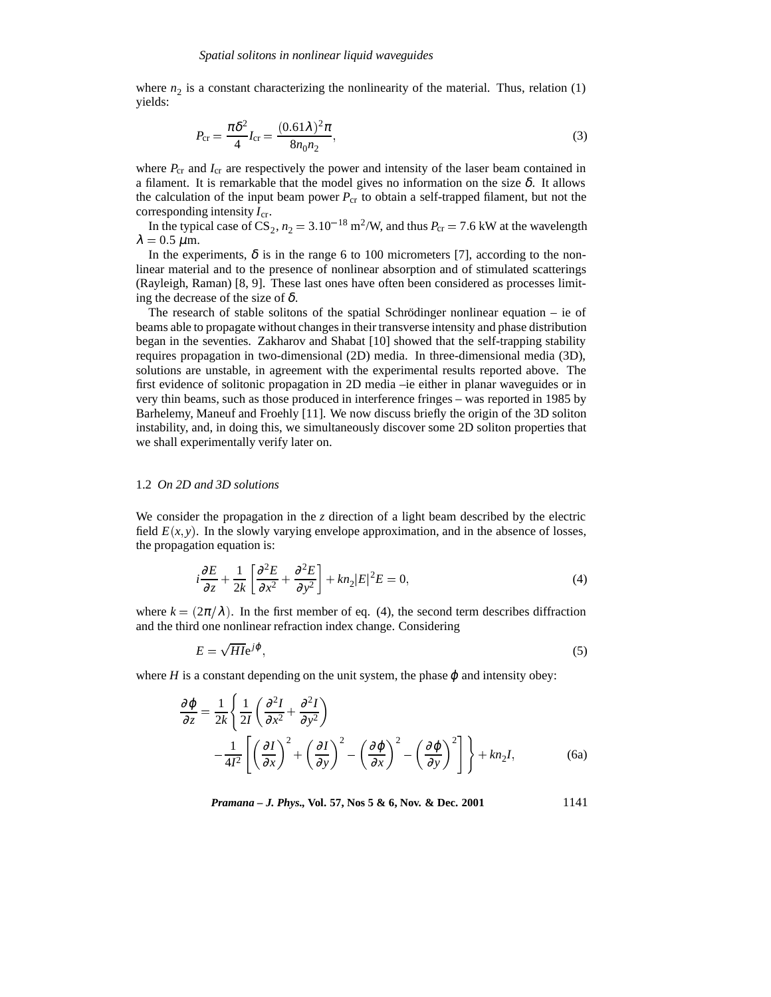where  $n_2$  is a constant characterizing the nonlinearity of the material. Thus, relation (1) yields:

$$
P_{\rm cr} = \frac{\pi \delta^2}{4} I_{\rm cr} = \frac{(0.61 \lambda)^2 \pi}{8 n_0 n_2},\tag{3}
$$

where  $P_{cr}$  and  $I_{cr}$  are respectively the power and intensity of the laser beam contained in a filament. It is remarkable that the model gives no information on the size  $\delta$ . It allows the calculation of the input beam power  $P_{cr}$  to obtain a self-trapped filament, but not the corresponding intensity *I*cr.

In the typical case of  $CS_2$ ,  $n_2 = 3.10^{-18}$  m<sup>2</sup>/W, and thus  $P_{cr} = 7.6$  kW at the wavelength  $\lambda = 0.5 \mu \text{m}$ .

In the experiments,  $\delta$  is in the range 6 to 100 micrometers [7], according to the nonlinear material and to the presence of nonlinear absorption and of stimulated scatterings (Rayleigh, Raman) [8, 9]. These last ones have often been considered as processes limiting the decrease of the size of  $\delta$ .

The research of stable solitons of the spatial Schrödinger nonlinear equation – ie of beams able to propagate without changes in their transverse intensity and phase distribution began in the seventies. Zakharov and Shabat [10] showed that the self-trapping stability requires propagation in two-dimensional (2D) media. In three-dimensional media (3D), solutions are unstable, in agreement with the experimental results reported above. The first evidence of solitonic propagation in 2D media –ie either in planar waveguides or in very thin beams, such as those produced in interference fringes – was reported in 1985 by Barhelemy, Maneuf and Froehly [11]. We now discuss briefly the origin of the 3D soliton instability, and, in doing this, we simultaneously discover some 2D soliton properties that we shall experimentally verify later on.

# 1.2 *On 2D and 3D solutions*

We consider the propagation in the *z* direction of a light beam described by the electric field  $E(x, y)$ . In the slowly varying envelope approximation, and in the absence of losses, the propagation equation is:

$$
i\frac{\partial E}{\partial z} + \frac{1}{2k} \left[ \frac{\partial^2 E}{\partial x^2} + \frac{\partial^2 E}{\partial y^2} \right] + kn_2|E|^2 E = 0,
$$
\n(4)

where  $k = (2\pi/\lambda)$ . In the first member of eq. (4), the second term describes diffraction and the third one nonlinear refraction index change. Considering

$$
E = \sqrt{H1}e^{j\varphi},\tag{5}
$$

where  $H$  is a constant depending on the unit system, the phase  $\varphi$  and intensity obey:

$$
\frac{\partial \varphi}{\partial z} = \frac{1}{2k} \left\{ \frac{1}{2I} \left( \frac{\partial^2 I}{\partial x^2} + \frac{\partial^2 I}{\partial y^2} \right) - \frac{1}{4I^2} \left[ \left( \frac{\partial I}{\partial x} \right)^2 + \left( \frac{\partial I}{\partial y} \right)^2 - \left( \frac{\partial \varphi}{\partial x} \right)^2 - \left( \frac{\partial \varphi}{\partial y} \right)^2 \right] \right\} + kn_2I,
$$
(6a)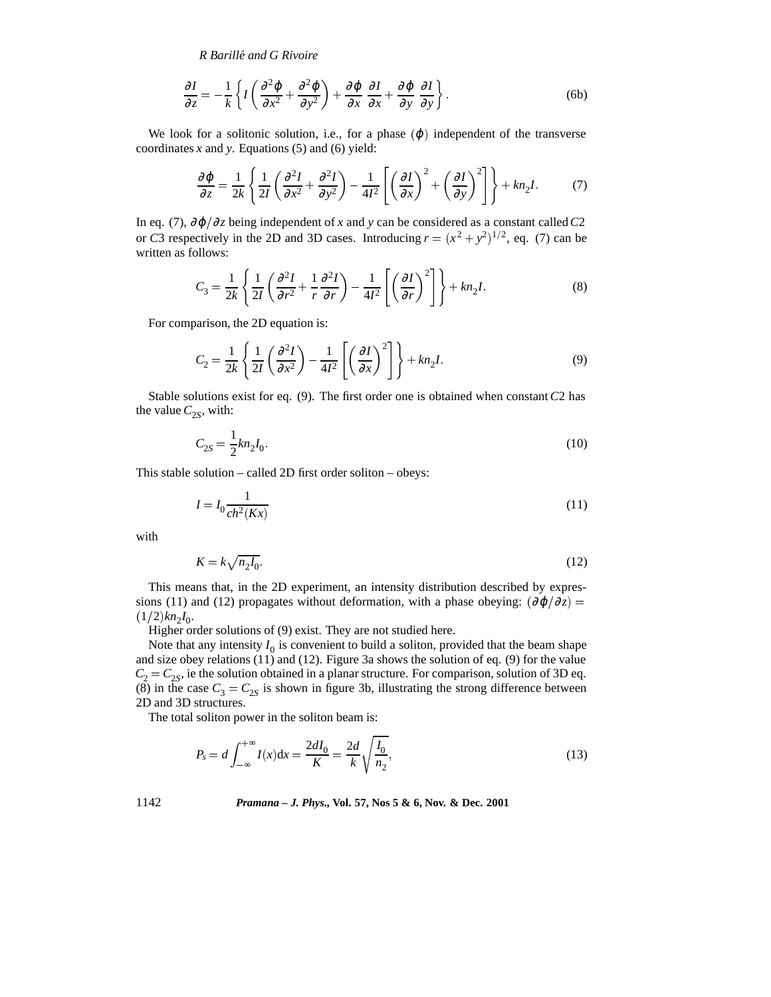*R Barille and G Rivoire ´*

$$
\frac{\partial I}{\partial z} = -\frac{1}{k} \left\{ I \left( \frac{\partial^2 \varphi}{\partial x^2} + \frac{\partial^2 \varphi}{\partial y^2} \right) + \frac{\partial \varphi}{\partial x} \frac{\partial I}{\partial x} + \frac{\partial \varphi}{\partial y} \frac{\partial I}{\partial y} \right\}.
$$
(6b)

We look for a solitonic solution, i.e., for a phase  $(\varphi)$  independent of the transverse coordinates *x* and *y*. Equations (5) and (6) yield:

$$
\frac{\partial \varphi}{\partial z} = \frac{1}{2k} \left\{ \frac{1}{2I} \left( \frac{\partial^2 I}{\partial x^2} + \frac{\partial^2 I}{\partial y^2} \right) - \frac{1}{4I^2} \left[ \left( \frac{\partial I}{\partial x} \right)^2 + \left( \frac{\partial I}{\partial y} \right)^2 \right] \right\} + kn_2I. \tag{7}
$$

In eq. (7),  $\partial \varphi / \partial z$  being independent of *x* and *y* can be considered as a constant called *C*2 or *C*3 respectively in the 2D and 3D cases. Introducing  $r = (x^2 + y^2)^{1/2}$ , eq. (7) can be written as follows:

$$
C_3 = \frac{1}{2k} \left\{ \frac{1}{2I} \left( \frac{\partial^2 I}{\partial r^2} + \frac{1}{r} \frac{\partial^2 I}{\partial r} \right) - \frac{1}{4I^2} \left[ \left( \frac{\partial I}{\partial r} \right)^2 \right] \right\} + kn_2I.
$$
 (8)

For comparison, the 2D equation is:

$$
C_2 = \frac{1}{2k} \left\{ \frac{1}{2I} \left( \frac{\partial^2 I}{\partial x^2} \right) - \frac{1}{4I^2} \left[ \left( \frac{\partial I}{\partial x} \right)^2 \right] \right\} + kn_2 I. \tag{9}
$$

Stable solutions exist for eq. (9). The first order one is obtained when constant*C*2 has the value  $C_{2S}$ , with:

$$
C_{2S} = \frac{1}{2} k n_2 I_0. \tag{10}
$$

This stable solution – called 2D first order soliton – obeys:

$$
I = I_0 \frac{1}{ch^2(Kx)}\tag{11}
$$

with

$$
K = k\sqrt{n_2 I_0}.\tag{12}
$$

This means that, in the 2D experiment, an intensity distribution described by expressions (11) and (12) propagates without deformation, with a phase obeying:  $(\partial \varphi / \partial z)$  =  $(1/2)kn_2I_0$ .

Higher order solutions of (9) exist. They are not studied here.

Note that any intensity  $I_0$  is convenient to build a soliton, provided that the beam shape and size obey relations (11) and (12). Figure 3a shows the solution of eq. (9) for the value  $C_2 = C_{2S}$ , ie the solution obtained in a planar structure. For comparison, solution of 3D eq. (8) in the case  $C_3 = C_{2S}$  is shown in figure 3b, illustrating the strong difference between 2D and 3D structures.

The total soliton power in the soliton beam is:

$$
P_s = d \int_{-\infty}^{+\infty} I(x) dx = \frac{2dI_0}{K} = \frac{2d}{k} \sqrt{\frac{I_0}{n_2}},
$$
\n(13)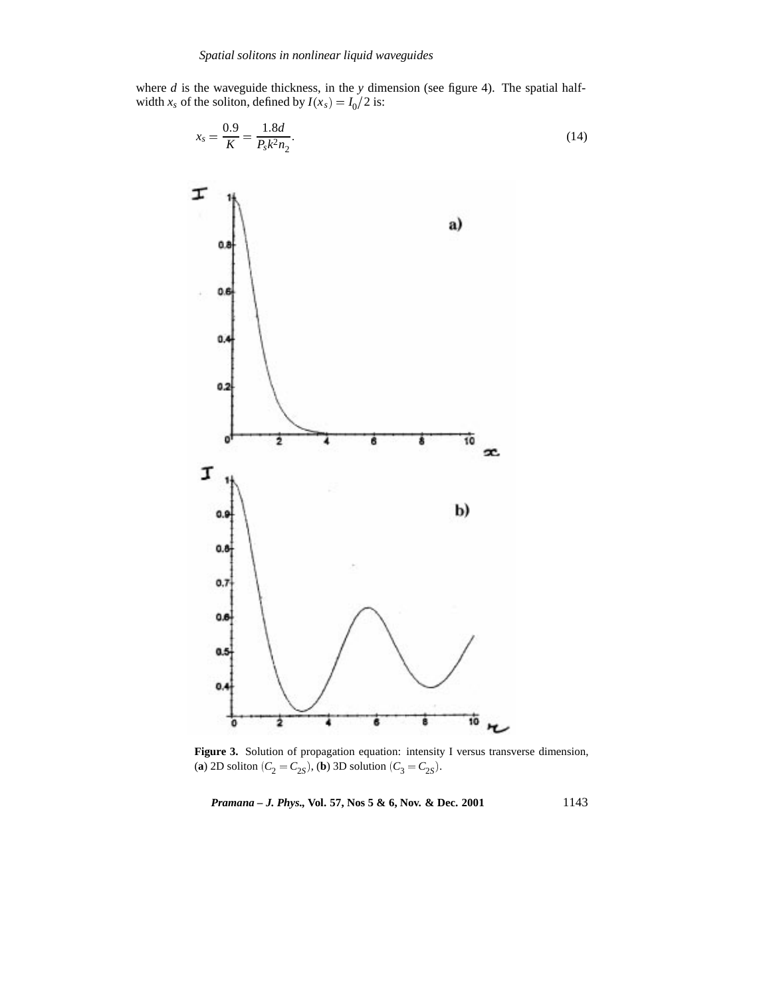where *d* is the waveguide thickness, in the *y* dimension (see figure 4). The spatial halfwidth  $x_s$  of the soliton, defined by  $I(x_s) = I_0/2$  is:

$$
x_s = \frac{0.9}{K} = \frac{1.8d}{P_s k^2 n_2}.
$$
\n(14)



**Figure 3.** Solution of propagation equation: intensity I versus transverse dimension, (**a**) 2D soliton ( $C_2 = C_{2S}$ ), (**b**) 3D solution ( $C_3 = C_{2S}$ ).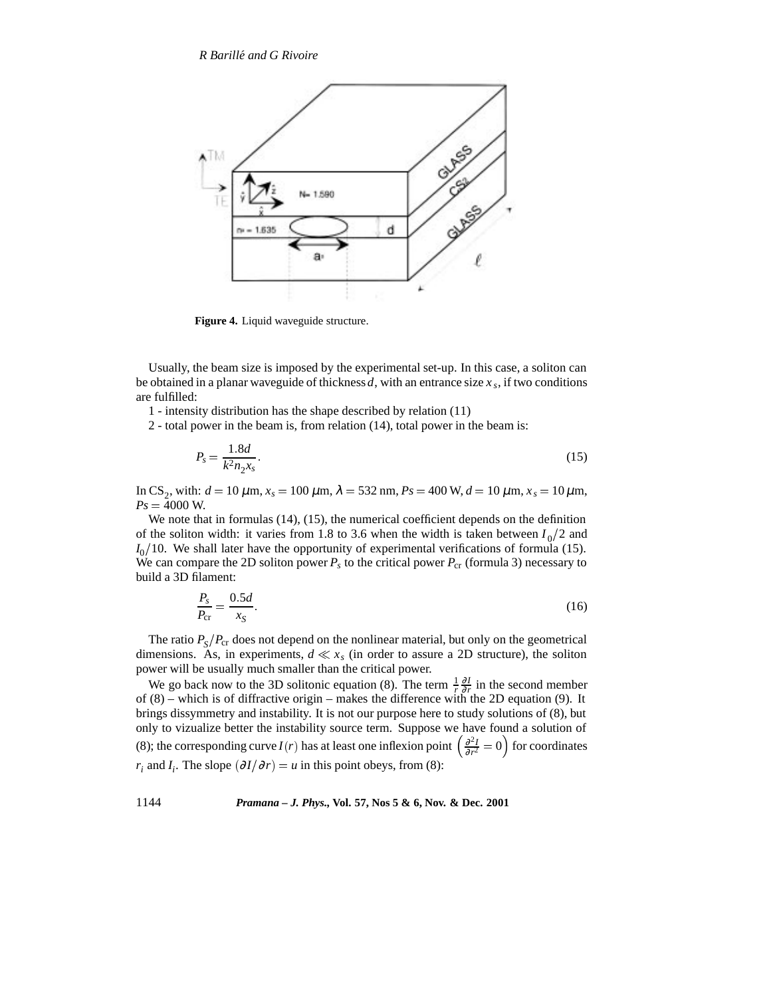

**Figure 4.** Liquid waveguide structure.

Usually, the beam size is imposed by the experimental set-up. In this case, a soliton can be obtained in a planar waveguide of thickness *d*, with an entrance size  $x<sub>s</sub>$ , if two conditions are fulfilled:

1 - intensity distribution has the shape described by relation (11)

2 - total power in the beam is, from relation (14), total power in the beam is:

$$
P_s = \frac{1.8d}{k^2 n_2 x_s}.
$$
\n(15)

In CS<sub>2</sub>, with:  $d = 10 \mu$ m,  $x_s = 100 \mu$ m,  $λ = 532$  nm,  $Ps = 400$  W,  $d = 10 \mu$ m,  $x_s = 10 \mu$ m,  $Ps = 4000$  W.

We note that in formulas (14), (15), the numerical coefficient depends on the definition of the soliton width: it varies from 1.8 to 3.6 when the width is taken between  $I_0/2$  and  $I_0/10$ . We shall later have the opportunity of experimental verifications of formula (15). We can compare the 2D soliton power  $P_s$  to the critical power  $P_{cr}$  (formula 3) necessary to build a 3D filament:

$$
\frac{P_s}{P_{\rm cr}} = \frac{0.5d}{x_S}.\tag{16}
$$

The ratio  $P_{\rm S}/P_{\rm cr}$  does not depend on the nonlinear material, but only on the geometrical dimensions. As, in experiments,  $d \ll x_s$  (in order to assure a 2D structure), the soliton power will be usually much smaller than the critical power.

We go back now to the 3D solitonic equation (8). The term  $\frac{1}{r}\frac{\partial I}{\partial r}$  in the second member of  $(8)$  – which is of diffractive origin – makes the difference with the 2D equation (9). It brings dissymmetry and instability. It is not our purpose here to study solutions of (8), but only to vizualize better the instability source term. Suppose we have found a solution of (8); the corresponding curve *I*(*r*) has at least one inflexion point  $\left(\frac{\partial^2 I}{\partial r^2} = 0\right)$  for coordinates *r<sub>i</sub>* and *I<sub>i</sub>*. The slope  $\left(\frac{\partial I}{\partial r}\right) = u$  in this point obeys, from (8):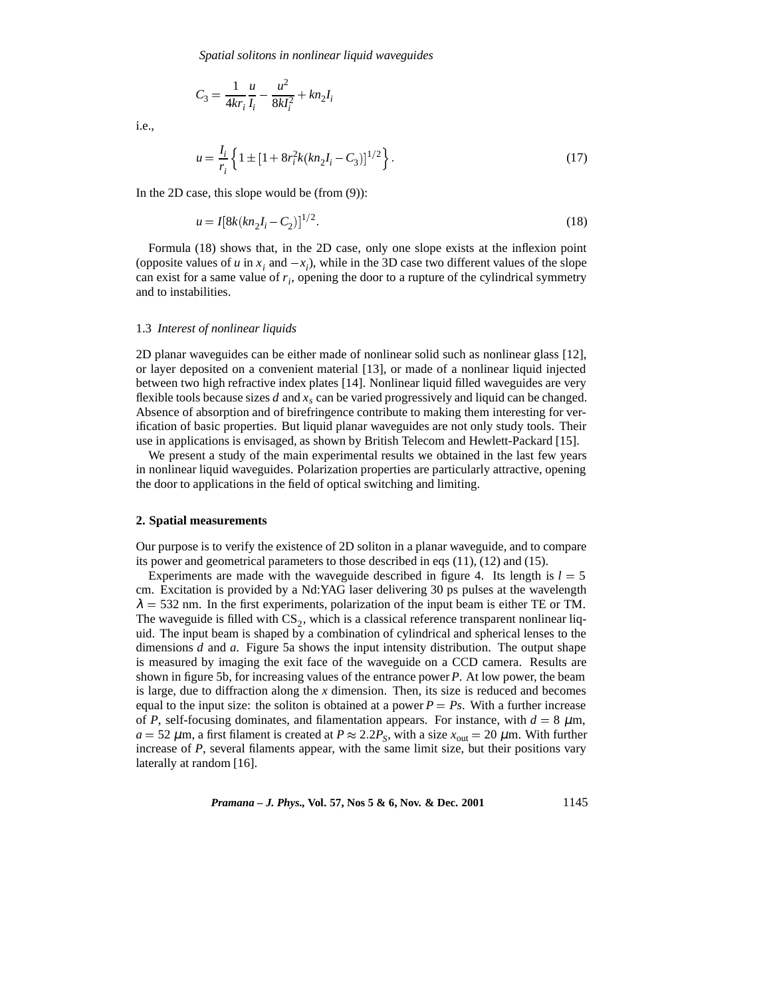*Spatial solitons in nonlinear liquid waveguides*

$$
C_3 = \frac{1}{4kr_i} \frac{u}{I_i} - \frac{u^2}{8kl_i^2} + kn_2I_i
$$

i.e.,

$$
u = \frac{I_i}{r_i} \left\{ 1 \pm \left[ 1 + 8r_i^2 k (kn_2 I_i - C_3) \right]^{1/2} \right\}.
$$
 (17)

In the 2D case, this slope would be (from (9)):

$$
u = I[8k(kn_2I_i - C_2)]^{1/2}.
$$
\n(18)

Formula (18) shows that, in the 2D case, only one slope exists at the inflexion point (opposite values of *u* in  $x_i$  and  $-x_i$ ), while in the 3D case two different values of the slope can exist for a same value of  $r_i$ , opening the door to a rupture of the cylindrical symmetry and to instabilities.

#### 1.3 *Interest of nonlinear liquids*

2D planar waveguides can be either made of nonlinear solid such as nonlinear glass [12], or layer deposited on a convenient material [13], or made of a nonlinear liquid injected between two high refractive index plates [14]. Nonlinear liquid filled waveguides are very flexible tools because sizes  $d$  and  $x<sub>s</sub>$  can be varied progressively and liquid can be changed. Absence of absorption and of birefringence contribute to making them interesting for verification of basic properties. But liquid planar waveguides are not only study tools. Their use in applications is envisaged, as shown by British Telecom and Hewlett-Packard [15].

We present a study of the main experimental results we obtained in the last few years in nonlinear liquid waveguides. Polarization properties are particularly attractive, opening the door to applications in the field of optical switching and limiting.

#### **2. Spatial measurements**

Our purpose is to verify the existence of 2D soliton in a planar waveguide, and to compare its power and geometrical parameters to those described in eqs (11), (12) and (15).

Experiments are made with the waveguide described in figure 4. Its length is  $l = 5$ cm. Excitation is provided by a Nd:YAG laser delivering 30 ps pulses at the wavelength  $\lambda = 532$  nm. In the first experiments, polarization of the input beam is either TE or TM. The waveguide is filled with  $CS_2$ , which is a classical reference transparent nonlinear liquid. The input beam is shaped by a combination of cylindrical and spherical lenses to the dimensions *d* and *a*. Figure 5a shows the input intensity distribution. The output shape is measured by imaging the exit face of the waveguide on a CCD camera. Results are shown in figure 5b, for increasing values of the entrance power*P*. At low power, the beam is large, due to diffraction along the *x* dimension. Then, its size is reduced and becomes equal to the input size: the soliton is obtained at a power  $P = Ps$ . With a further increase of *P*, self-focusing dominates, and filamentation appears. For instance, with  $d = 8 \mu m$ ,  $a = 52 \mu$ m, a first filament is created at  $P \approx 2.2 P_s$ , with a size  $x_{\text{out}} = 20 \mu$ m. With further increase of *P*, several filaments appear, with the same limit size, but their positions vary laterally at random [16].

*Pramana – J. Phys.,* **Vol. 57, Nos 5 & 6, Nov. & Dec. 2001** 1145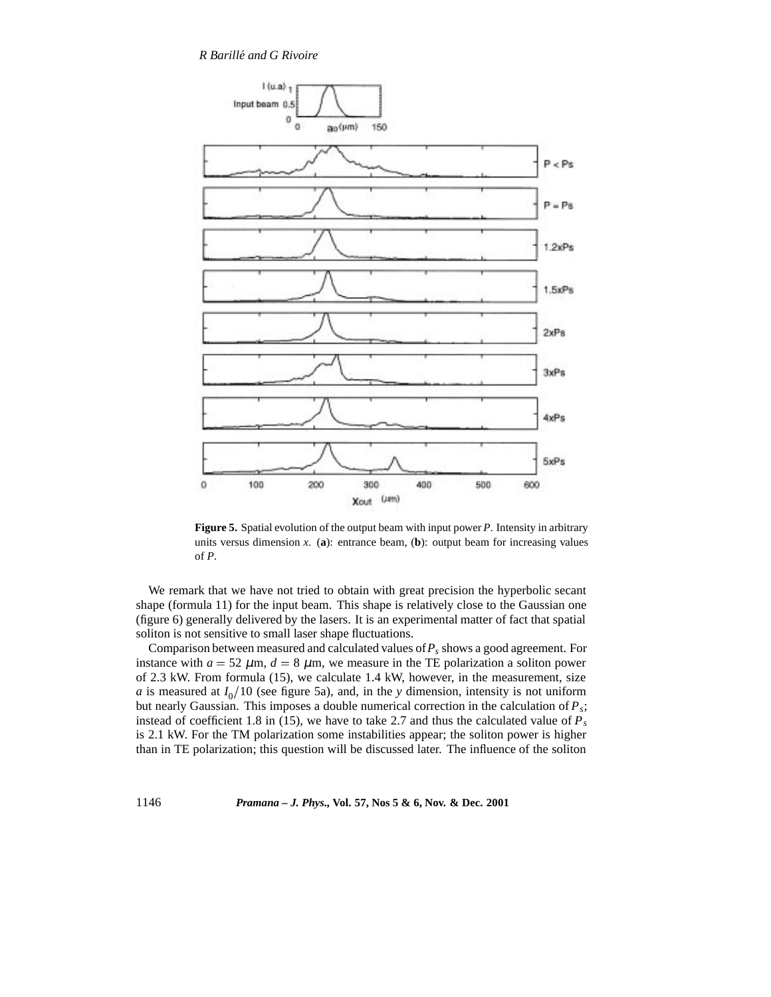

**Figure 5.** Spatial evolution of the output beam with input power *P*. Intensity in arbitrary units versus dimension  $x$ . (a): entrance beam, (b): output beam for increasing values of *P*.

We remark that we have not tried to obtain with great precision the hyperbolic secant shape (formula 11) for the input beam. This shape is relatively close to the Gaussian one (figure 6) generally delivered by the lasers. It is an experimental matter of fact that spatial soliton is not sensitive to small laser shape fluctuations.

Comparison between measured and calculated values of  $P_s$  shows a good agreement. For instance with  $a = 52 \mu m$ ,  $d = 8 \mu m$ , we measure in the TE polarization a soliton power of 2.3 kW. From formula (15), we calculate 1.4 kW, however, in the measurement, size *a* is measured at  $I_0/10$  (see figure 5a), and, in the *y* dimension, intensity is not uniform but nearly Gaussian. This imposes a double numerical correction in the calculation of *Ps*; instead of coefficient 1.8 in (15), we have to take 2.7 and thus the calculated value of  $P_s$ is 2.1 kW. For the TM polarization some instabilities appear; the soliton power is higher than in TE polarization; this question will be discussed later. The influence of the soliton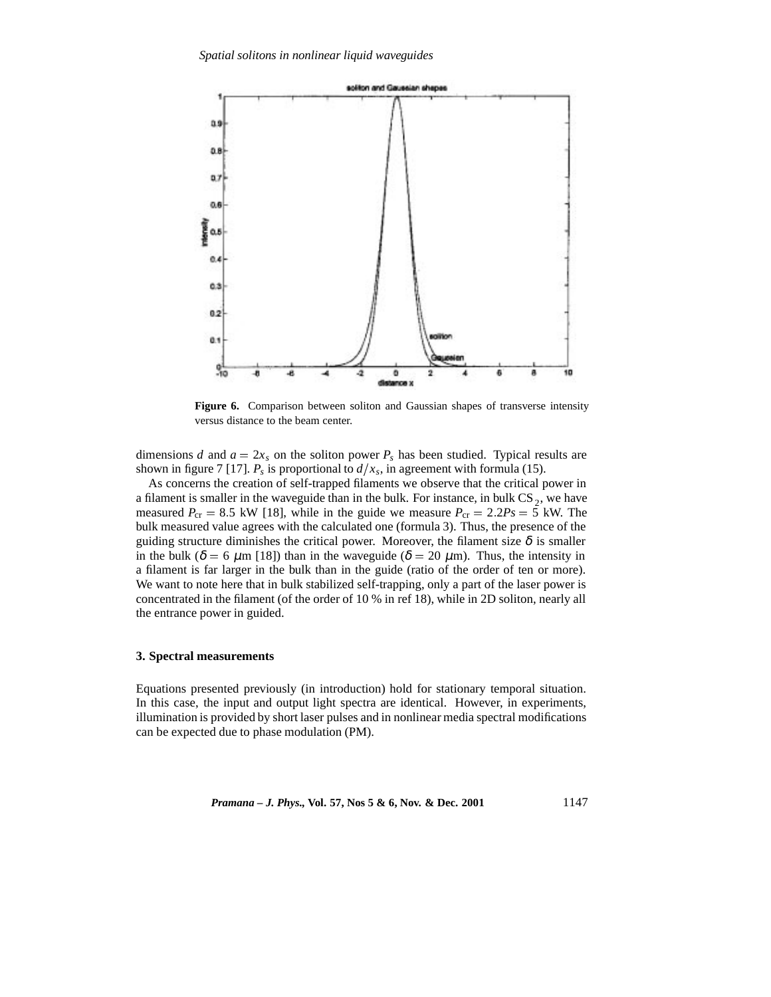

**Figure 6.** Comparison between soliton and Gaussian shapes of transverse intensity versus distance to the beam center.

dimensions *d* and  $a = 2x_s$  on the soliton power  $P_s$  has been studied. Typical results are shown in figure 7 [17].  $P_s$  is proportional to  $d/x_s$ , in agreement with formula (15).

As concerns the creation of self-trapped filaments we observe that the critical power in a filament is smaller in the waveguide than in the bulk. For instance, in bulk  $CS_2$ , we have measured  $P_{cr} = 8.5$  kW [18], while in the guide we measure  $P_{cr} = 2.2P_s = 5$  kW. The bulk measured value agrees with the calculated one (formula 3). Thus, the presence of the guiding structure diminishes the critical power. Moreover, the filament size  $\delta$  is smaller in the bulk ( $\delta = 6 \mu m$  [18]) than in the waveguide ( $\delta = 20 \mu m$ ). Thus, the intensity in a filament is far larger in the bulk than in the guide (ratio of the order of ten or more). We want to note here that in bulk stabilized self-trapping, only a part of the laser power is concentrated in the filament (of the order of 10 % in ref 18), while in 2D soliton, nearly all the entrance power in guided.

#### **3. Spectral measurements**

Equations presented previously (in introduction) hold for stationary temporal situation. In this case, the input and output light spectra are identical. However, in experiments, illumination is provided by short laser pulses and in nonlinear media spectral modifications can be expected due to phase modulation (PM).

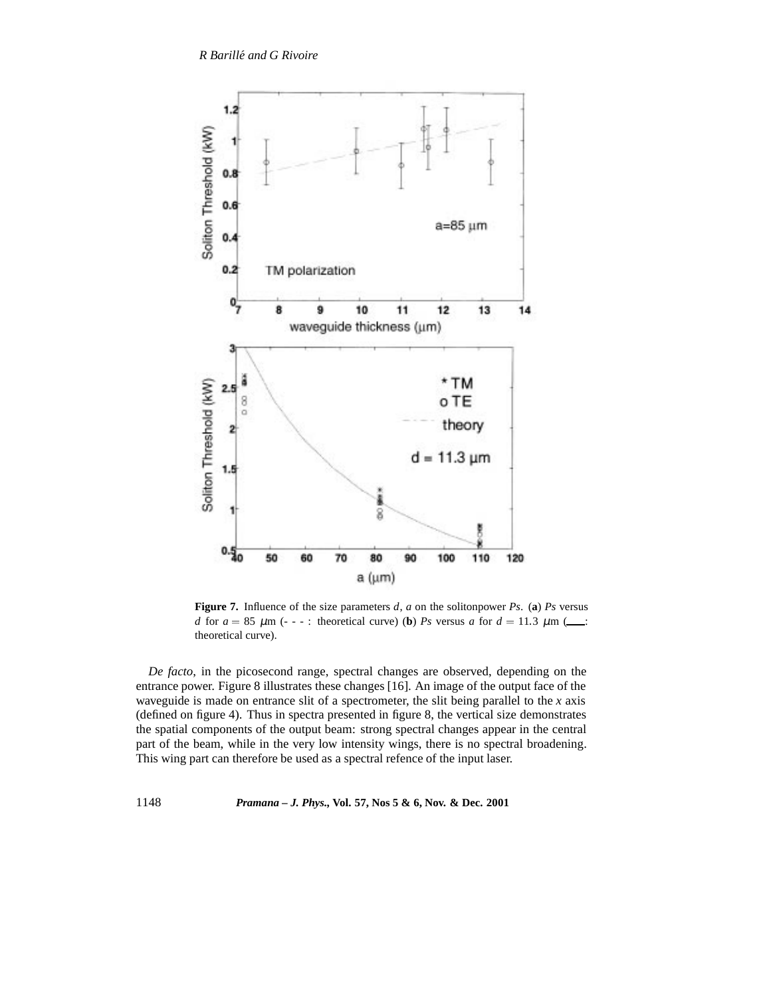

**Figure 7.** Influence of the size parameters *d*, *a* on the solitonpower *Ps*. (**a**) *Ps* versus *d* for  $a = 85 \mu m$  (- - -: theoretical curve) (**b**) *Ps* versus *a* for  $d = 11.3 \mu m$  (.... theoretical curve).

*De facto*, in the picosecond range, spectral changes are observed, depending on the entrance power. Figure 8 illustrates these changes [16]. An image of the output face of the waveguide is made on entrance slit of a spectrometer, the slit being parallel to the *x* axis (defined on figure 4). Thus in spectra presented in figure 8, the vertical size demonstrates the spatial components of the output beam: strong spectral changes appear in the central part of the beam, while in the very low intensity wings, there is no spectral broadening. This wing part can therefore be used as a spectral refence of the input laser.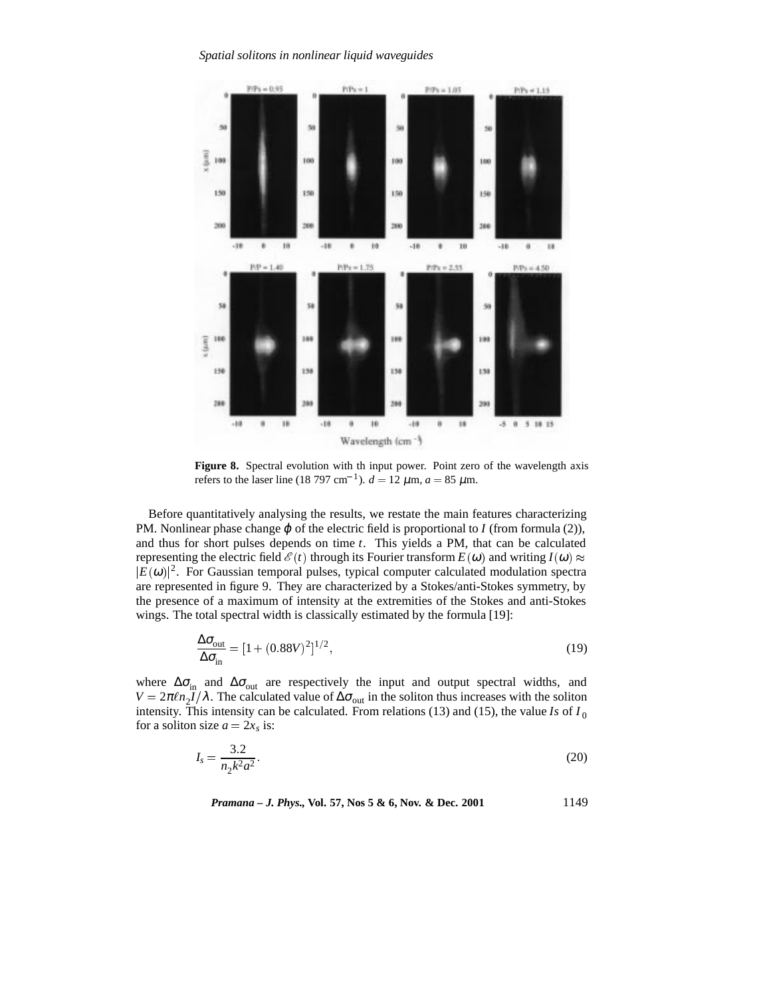*Spatial solitons in nonlinear liquid waveguides*



**Figure 8.** Spectral evolution with th input power. Point zero of the wavelength axis refers to the laser line (18 797 cm<sup>-1</sup>).  $d = 12 \mu$ m,  $a = 85 \mu$ m.

Before quantitatively analysing the results, we restate the main features characterizing PM. Nonlinear phase change  $\varphi$  of the electric field is proportional to *I* (from formula (2)), and thus for short pulses depends on time *t*. This yields a PM, that can be calculated representing the electric field  $\mathcal{E}(t)$  through its Fourier transform  $E(\omega)$  and writing  $I(\omega) \approx$  $|E(\omega)|^2$ . For Gaussian temporal pulses, typical computer calculated modulation spectra are represented in figure 9. They are characterized by a Stokes/anti-Stokes symmetry, by the presence of a maximum of intensity at the extremities of the Stokes and anti-Stokes wings. The total spectral width is classically estimated by the formula [19]:

$$
\frac{\Delta \sigma_{\text{out}}}{\Delta \sigma_{\text{in}}} = [1 + (0.88V)^2]^{1/2},\tag{19}
$$

where  $\Delta\sigma_{\text{in}}$  and  $\Delta\sigma_{\text{out}}$  are respectively the input and output spectral widths, and  $V = 2\pi \ln_2 I/\lambda$ . The calculated value of  $\Delta \sigma_{\text{out}}$  in the soliton thus increases with the soliton intensity. This intensity can be calculated. From relations (13) and (15), the value *Is* of  $I_0$ for a soliton size  $a = 2x_s$  is:

$$
I_s = \frac{3.2}{n_2 k^2 a^2}.
$$
\n(20)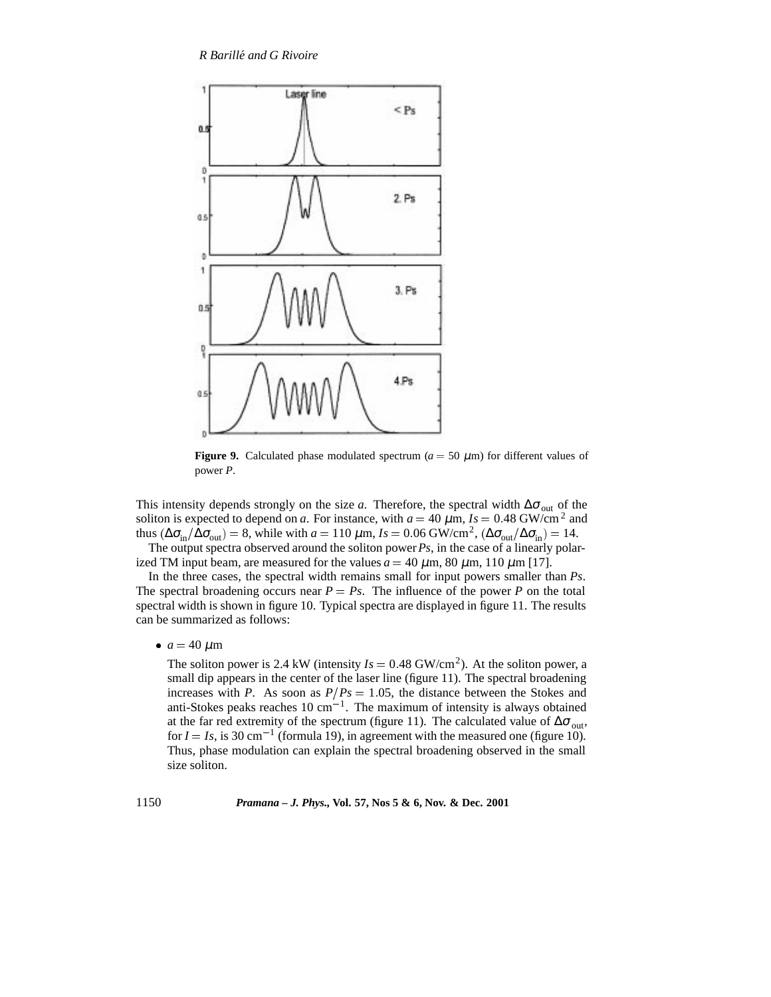

**Figure 9.** Calculated phase modulated spectrum ( $a = 50 \mu$ m) for different values of power *P*.

This intensity depends strongly on the size *a*. Therefore, the spectral width  $\Delta\sigma_{\text{out}}$  of the soliton is expected to depend on *a*. For instance, with  $a = 40 \mu \text{m}$ ,  $Is = 0.48 \text{ GW/cm}^2$  and thus ( $\Delta \sigma_{\text{in}}/\Delta \sigma_{\text{out}}$ ) = 8, while with *a* = 110  $\mu$ m, *Is* = 0.06 GW/cm<sup>2</sup>, ( $\Delta \sigma_{\text{out}}/\Delta \sigma_{\text{in}}$ ) = 14.

The output spectra observed around the soliton power*Ps*, in the case of a linearly polarized TM input beam, are measured for the values  $a = 40 \mu m$ ,  $80 \mu m$ ,  $110 \mu m$  [17].

In the three cases, the spectral width remains small for input powers smaller than *Ps*. The spectral broadening occurs near  $P = Ps$ . The influence of the power P on the total spectral width is shown in figure 10. Typical spectra are displayed in figure 11. The results can be summarized as follows:

 $\bullet$  *a* = 40  $\mu$ m

The soliton power is 2.4 kW (intensity  $Is = 0.48$  GW/cm<sup>2</sup>). At the soliton power, a small dip appears in the center of the laser line (figure 11). The spectral broadening increases with *P*. As soon as  $P/Ps = 1.05$ , the distance between the Stokes and anti-Stokes peaks reaches  $10 \text{ cm}^{-1}$ . The maximum of intensity is always obtained at the far red extremity of the spectrum (figure 11). The calculated value of  $\Delta\sigma_{\text{out}}$ , for  $I = Is$ , is 30 cm<sup>-1</sup> (formula 19), in agreement with the measured one (figure 10). Thus, phase modulation can explain the spectral broadening observed in the small size soliton.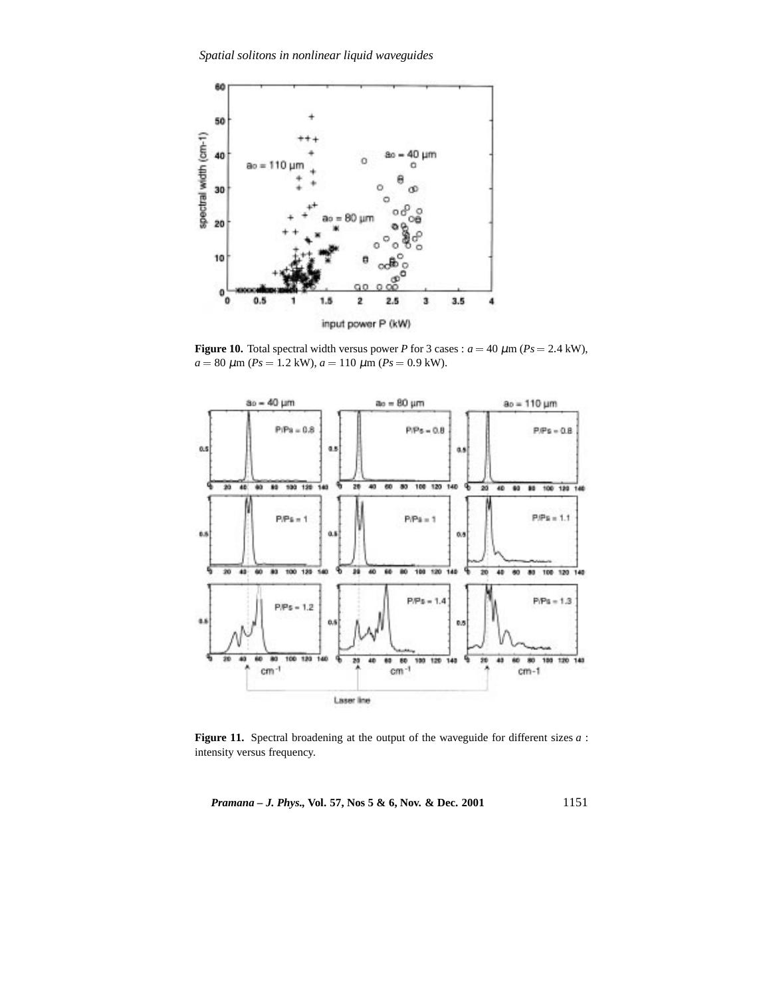*Spatial solitons in nonlinear liquid waveguides*



**Figure 10.** Total spectral width versus power *P* for 3 cases :  $a = 40 \mu$ m ( $Ps = 2.4 \text{ kW}$ ),  $a = 80 \ \mu \text{m} \ (Ps = 1.2 \ \text{kW})$ ,  $a = 110 \ \mu \text{m} \ (Ps = 0.9 \ \text{kW})$ .



**Figure 11.** Spectral broadening at the output of the waveguide for different sizes *a* : intensity versus frequency.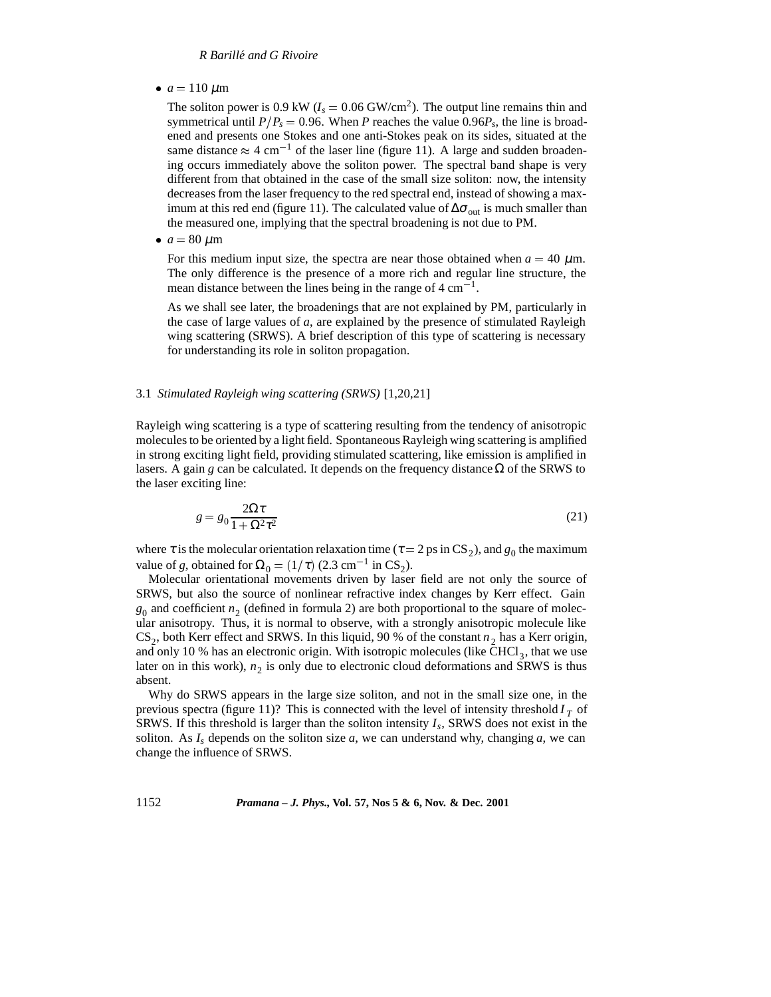# *R Barille and G Rivoire ´*

•  $a = 110 \ \mu m$ 

The soliton power is 0.9 kW ( $I_s = 0.06$  GW/cm<sup>2</sup>). The output line remains thin and symmetrical until  $P/P_s = 0.96$ . When *P* reaches the value 0.96 $P_s$ , the line is broadened and presents one Stokes and one anti-Stokes peak on its sides, situated at the same distance  $\approx 4$  cm<sup>-1</sup> of the laser line (figure 11). A large and sudden broadening occurs immediately above the soliton power. The spectral band shape is very different from that obtained in the case of the small size soliton: now, the intensity decreases from the laser frequency to the red spectral end, instead of showing a maximum at this red end (figure 11). The calculated value of  $\Delta\sigma_{\text{out}}$  is much smaller than the measured one, implying that the spectral broadening is not due to PM.

 $\bullet$  *a* = 80  $\mu$ m

For this medium input size, the spectra are near those obtained when  $a = 40 \mu$ m. The only difference is the presence of a more rich and regular line structure, the mean distance between the lines being in the range of  $4 \text{ cm}^{-1}$ .

As we shall see later, the broadenings that are not explained by PM, particularly in the case of large values of *a*, are explained by the presence of stimulated Rayleigh wing scattering (SRWS). A brief description of this type of scattering is necessary for understanding its role in soliton propagation.

# 3.1 *Stimulated Rayleigh wing scattering (SRWS)* [1,20,21]

Rayleigh wing scattering is a type of scattering resulting from the tendency of anisotropic molecules to be oriented by a light field. Spontaneous Rayleigh wing scattering is amplified in strong exciting light field, providing stimulated scattering, like emission is amplified in lasers. A gain *g* can be calculated. It depends on the frequency distance  $\Omega$  of the SRWS to the laser exciting line:

$$
g = g_0 \frac{2\Omega \tau}{1 + \Omega^2 \tau^2} \tag{21}
$$

where  $\tau$  is the molecular orientation relaxation time ( $\tau = 2$  ps in CS<sub>2</sub>), and  $g_0$  the maximum value of *g*, obtained for  $\Omega_0 = (1/\tau)$  (2.3 cm<sup>-1</sup> in CS<sub>2</sub>).

Molecular orientational movements driven by laser field are not only the source of SRWS, but also the source of nonlinear refractive index changes by Kerr effect. Gain  $g_0$  and coefficient  $n_2$  (defined in formula 2) are both proportional to the square of molecular anisotropy. Thus, it is normal to observe, with a strongly anisotropic molecule like  $CS_2$ , both Kerr effect and SRWS. In this liquid, 90 % of the constant  $n_2$  has a Kerr origin, and only 10 % has an electronic origin. With isotropic molecules (like  $\overline{CHCl}_3$ , that we use later on in this work),  $n<sub>2</sub>$  is only due to electronic cloud deformations and SRWS is thus absent.

Why do SRWS appears in the large size soliton, and not in the small size one, in the previous spectra (figure 11)? This is connected with the level of intensity threshold  $I<sub>T</sub>$  of SRWS. If this threshold is larger than the soliton intensity *Is*, SRWS does not exist in the soliton. As  $I_s$  depends on the soliton size  $a$ , we can understand why, changing  $a$ , we can change the influence of SRWS.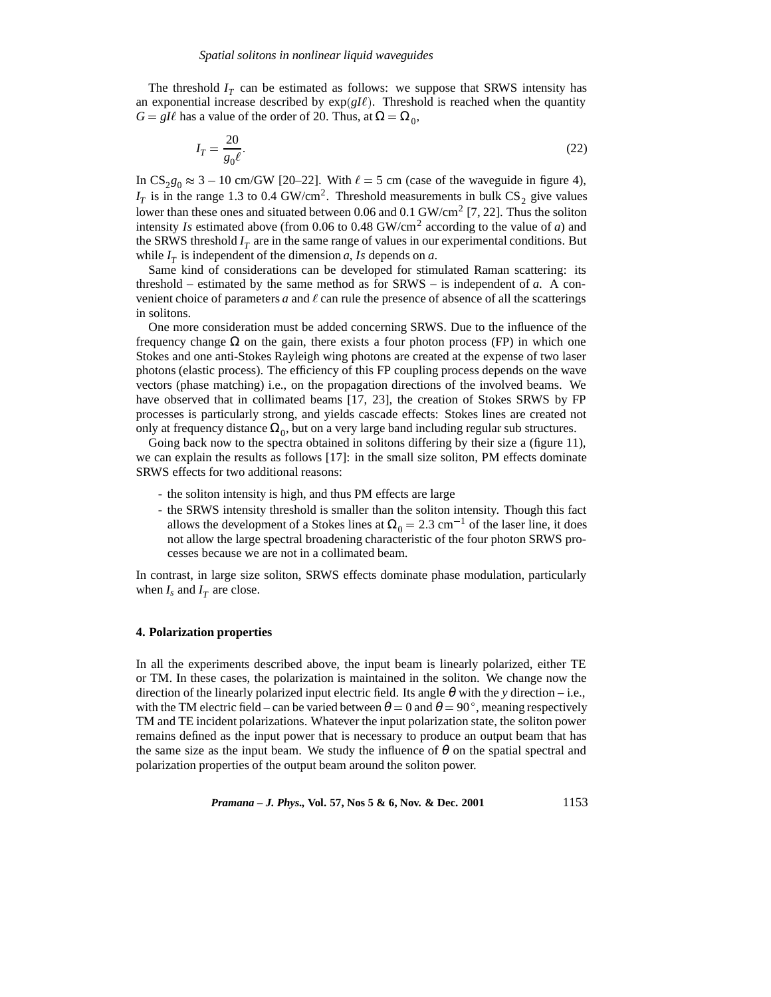The threshold  $I_T$  can be estimated as follows: we suppose that SRWS intensity has an exponential increase described by  $exp(gI\ell)$ . Threshold is reached when the quantity  $G = gI\ell$  has a value of the order of 20. Thus, at  $\Omega = \Omega_0$ ,

$$
I_T = \frac{20}{g_0 \ell}.\tag{22}
$$

In  $CS_{280} \approx 3 - 10$  cm/GW [20–22]. With  $\ell = 5$  cm (case of the waveguide in figure 4),  $I_T$  is in the range 1.3 to 0.4 GW/cm<sup>2</sup>. Threshold measurements in bulk CS<sub>2</sub> give values lower than these ones and situated between 0.06 and 0.1 GW/cm<sup>2</sup> [7, 22]. Thus the soliton intensity *Is* estimated above (from 0.06 to 0.48 GW/cm<sup>2</sup> according to the value of *a*) and the SRWS threshold  $I_T$  are in the same range of values in our experimental conditions. But while  $I_T$  is independent of the dimension *a*, *Is* depends on *a*.

Same kind of considerations can be developed for stimulated Raman scattering: its threshold – estimated by the same method as for SRWS – is independent of *a*. A convenient choice of parameters  $a$  and  $\ell$  can rule the presence of absence of all the scatterings in solitons.

One more consideration must be added concerning SRWS. Due to the influence of the frequency change  $\Omega$  on the gain, there exists a four photon process (FP) in which one Stokes and one anti-Stokes Rayleigh wing photons are created at the expense of two laser photons (elastic process). The efficiency of this FP coupling process depends on the wave vectors (phase matching) i.e., on the propagation directions of the involved beams. We have observed that in collimated beams [17, 23], the creation of Stokes SRWS by FP processes is particularly strong, and yields cascade effects: Stokes lines are created not only at frequency distance  $\Omega_0$ , but on a very large band including regular sub structures.

Going back now to the spectra obtained in solitons differing by their size a (figure 11), we can explain the results as follows [17]: in the small size soliton, PM effects dominate SRWS effects for two additional reasons:

- the soliton intensity is high, and thus PM effects are large
- the SRWS intensity threshold is smaller than the soliton intensity. Though this fact allows the development of a Stokes lines at  $\Omega_0 = 2.3 \text{ cm}^{-1}$  of the laser line, it does not allow the large spectral broadening characteristic of the four photon SRWS processes because we are not in a collimated beam.

In contrast, in large size soliton, SRWS effects dominate phase modulation, particularly when  $I_s$  and  $I_T$  are close.

# **4. Polarization properties**

In all the experiments described above, the input beam is linearly polarized, either TE or TM. In these cases, the polarization is maintained in the soliton. We change now the direction of the linearly polarized input electric field. Its angle  $\theta$  with the *y* direction – i.e., with the TM electric field – can be varied between  $\theta = 0$  and  $\theta = 90^{\circ}$ , meaning respectively TM and TE incident polarizations. Whatever the input polarization state, the soliton power remains defined as the input power that is necessary to produce an output beam that has the same size as the input beam. We study the influence of  $\theta$  on the spatial spectral and polarization properties of the output beam around the soliton power.

*Pramana – J. Phys.,* **Vol. 57, Nos 5 & 6, Nov. & Dec. 2001** 1153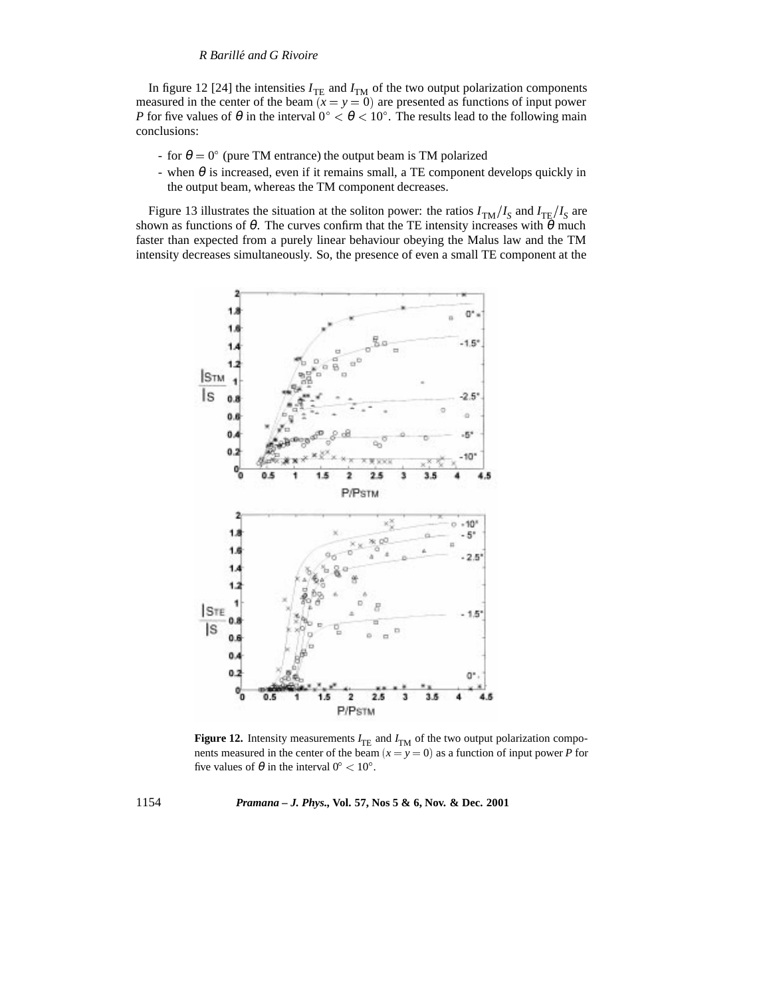In figure 12 [24] the intensities  $I_{\text{TE}}$  and  $I_{\text{TM}}$  of the two output polarization components measured in the center of the beam  $(x = y = 0)$  are presented as functions of input power *P* for five values of  $\theta$  in the interval  $0^{\circ} < \theta < 10^{\circ}$ . The results lead to the following main conclusions:

- for  $\theta = 0^{\circ}$  (pure TM entrance) the output beam is TM polarized
- when  $\theta$  is increased, even if it remains small, a TE component develops quickly in the output beam, whereas the TM component decreases.

Figure 13 illustrates the situation at the soliton power: the ratios  $I_{TM}/I_S$  and  $I_{TE}/I_S$  are shown as functions of  $\theta$ . The curves confirm that the TE intensity increases with  $\theta$  much faster than expected from a purely linear behaviour obeying the Malus law and the TM intensity decreases simultaneously. So, the presence of even a small TE component at the



**Figure 12.** Intensity measurements  $I_{\text{TE}}$  and  $I_{\text{TM}}$  of the two output polarization components measured in the center of the beam  $(x = y = 0)$  as a function of input power *P* for five values of  $\theta$  in the interval  $0^{\circ} < 10^{\circ}$ .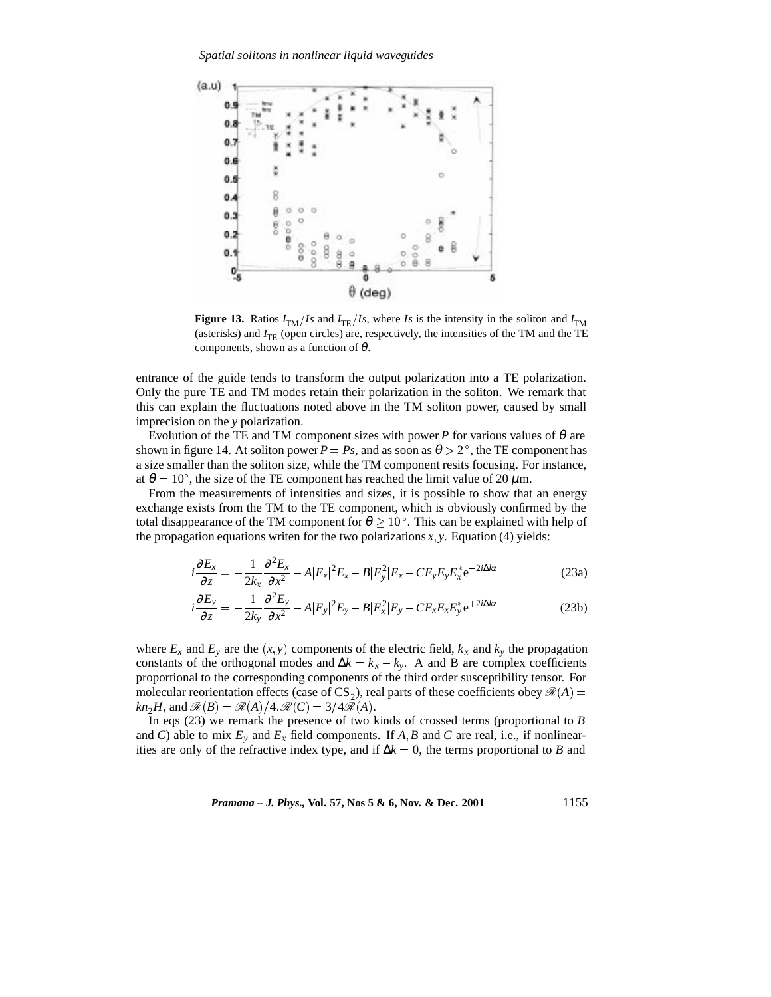

**Figure 13.** Ratios  $I_{TM}/Is$  and  $I_{TE}/Is$ , where *Is* is the intensity in the soliton and  $I_{TM}$ (asterisks) and  $I_{\text{TE}}$  (open circles) are, respectively, the intensities of the TM and the TE components, shown as a function of  $\theta$ .

entrance of the guide tends to transform the output polarization into a TE polarization. Only the pure TE and TM modes retain their polarization in the soliton. We remark that this can explain the fluctuations noted above in the TM soliton power, caused by small imprecision on the *y* polarization.

Evolution of the TE and TM component sizes with power  $P$  for various values of  $\theta$  are shown in figure 14. At soliton power  $P = Ps$ , and as soon as  $\theta > 2^\circ$ , the TE component has a size smaller than the soliton size, while the TM component resits focusing. For instance, at  $\theta = 10^{\circ}$ , the size of the TE component has reached the limit value of 20  $\mu$ m.

From the measurements of intensities and sizes, it is possible to show that an energy exchange exists from the TM to the TE component, which is obviously confirmed by the total disappearance of the TM component for  $\theta \geq 10^{\circ}$ . This can be explained with help of the propagation equations writen for the two polarizations  $x, y$ . Equation (4) yields:

$$
i\frac{\partial E_x}{\partial z} = -\frac{1}{2k_x} \frac{\partial^2 E_x}{\partial x^2} - A|E_x|^2 E_x - B|E_y^2|E_x - CE_y E_y E_x^* e^{-2i\Delta kz}
$$
(23a)

$$
i\frac{\partial E_y}{\partial z} = -\frac{1}{2k_y} \frac{\partial^2 E_y}{\partial x^2} - A|E_y|^2 E_y - B|E_x^2|E_y - CE_x E_x E_y^* e^{+2i\Delta kz}
$$
(23b)

where  $E_x$  and  $E_y$  are the  $(x, y)$  components of the electric field,  $k_x$  and  $k_y$  the propagation constants of the orthogonal modes and  $\Delta k = k_x - k_y$ . A and B are complex coefficients proportional to the corresponding components of the third order susceptibility tensor. For molecular reorientation effects (case of CS<sub>2</sub>), real parts of these coefficients obey  $\mathcal{R}(A)$  = *kn*<sub>2</sub>*H*, and  $\mathcal{R}(B) = \mathcal{R}(A)/4$ ,  $\mathcal{R}(C) = 3/4\mathcal{R}(A)$ .

In eqs (23) we remark the presence of two kinds of crossed terms (proportional to *B* and *C*) able to mix  $E_y$  and  $E_x$  field components. If  $A$ ,  $B$  and  $C$  are real, i.e., if nonlinearities are only of the refractive index type, and if  $\Delta k = 0$ , the terms proportional to *B* and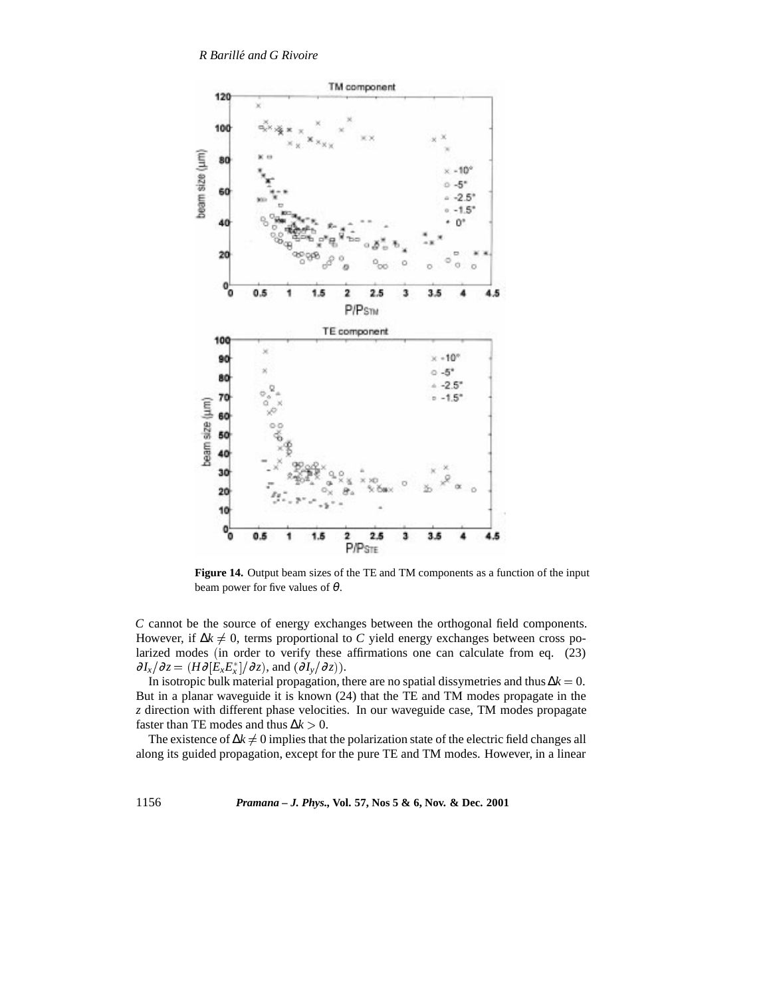

**Figure 14.** Output beam sizes of the TE and TM components as a function of the input beam power for five values of  $\theta$ .

*C* cannot be the source of energy exchanges between the orthogonal field components. However, if  $\Delta k \neq 0$ , terms proportional to *C* yield energy exchanges between cross polarized modes (in order to verify these affirmations one can calculate from eq. (23)  $\partial I_x/\partial z = (H\partial [E_x E_x^*]/\partial z)$ , and  $(\partial I_y/\partial z)$ ).

In isotropic bulk material propagation, there are no spatial dissymetries and thus ∆*k* <sup>=</sup> 0. But in a planar waveguide it is known (24) that the TE and TM modes propagate in the *z* direction with different phase velocities. In our waveguide case, TM modes propagate faster than TE modes and thus  $\Delta k > 0$ .

The existence of  $\Delta k \neq 0$  implies that the polarization state of the electric field changes all along its guided propagation, except for the pure TE and TM modes. However, in a linear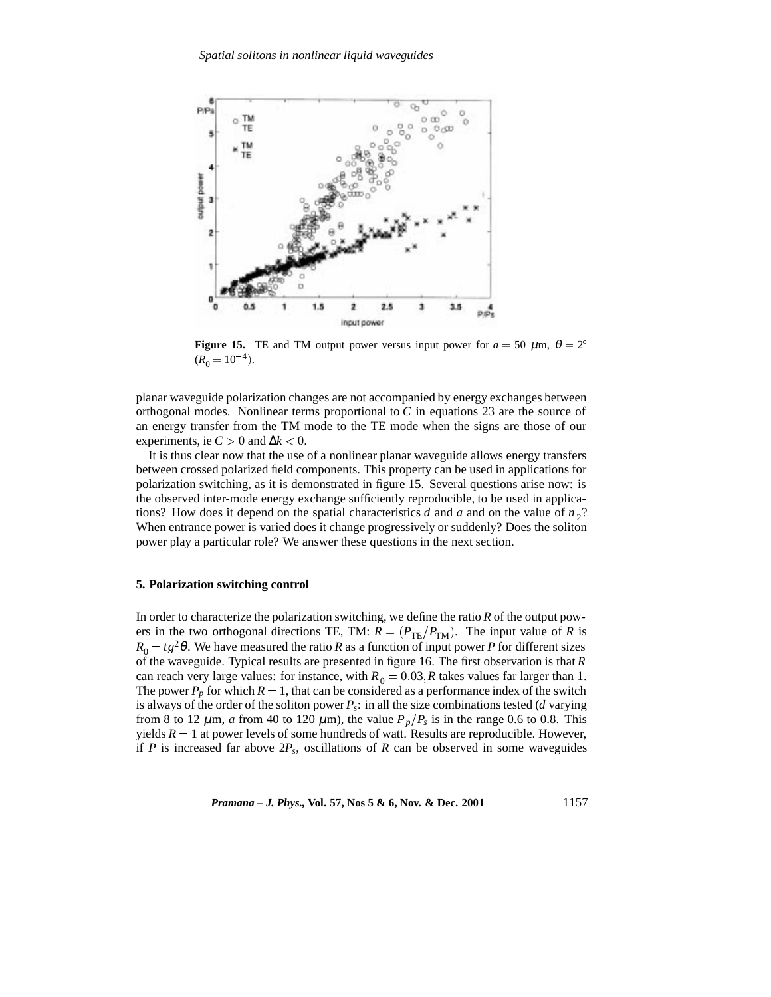

**Figure 15.** TE and TM output power versus input power for  $a = 50 \mu m$ ,  $\theta = 2^{\circ}$  $(R_0 = 10^{-4}).$ 

planar waveguide polarization changes are not accompanied by energy exchanges between orthogonal modes. Nonlinear terms proportional to *C* in equations 23 are the source of an energy transfer from the TM mode to the TE mode when the signs are those of our experiments, ie  $C > 0$  and  $\Delta k < 0$ .

It is thus clear now that the use of a nonlinear planar waveguide allows energy transfers between crossed polarized field components. This property can be used in applications for polarization switching, as it is demonstrated in figure 15. Several questions arise now: is the observed inter-mode energy exchange sufficiently reproducible, to be used in applications? How does it depend on the spatial characteristics *d* and *a* and on the value of  $n<sub>2</sub>$ ? When entrance power is varied does it change progressively or suddenly? Does the soliton power play a particular role? We answer these questions in the next section.

# **5. Polarization switching control**

In order to characterize the polarization switching, we define the ratio *R* of the output powers in the two orthogonal directions TE, TM:  $R = (P_{TE}/P_{TM})$ . The input value of *R* is  $R_0 = t g^2 \theta$ . We have measured the ratio *R* as a function of input power *P* for different sizes of the waveguide. Typical results are presented in figure 16. The first observation is that *R* can reach very large values: for instance, with  $R_0 = 0.03$ , *R* takes values far larger than 1. The power  $P_p$  for which  $R = 1$ , that can be considered as a performance index of the switch is always of the order of the soliton power *Ps*: in all the size combinations tested (*d* varying from 8 to 12  $\mu$ m, *a* from 40 to 120  $\mu$ m), the value  $P_p/P_s$  is in the range 0.6 to 0.8. This yields  $R = 1$  at power levels of some hundreds of watt. Results are reproducible. However, if *P* is increased far above  $2P_s$ , oscillations of *R* can be observed in some waveguides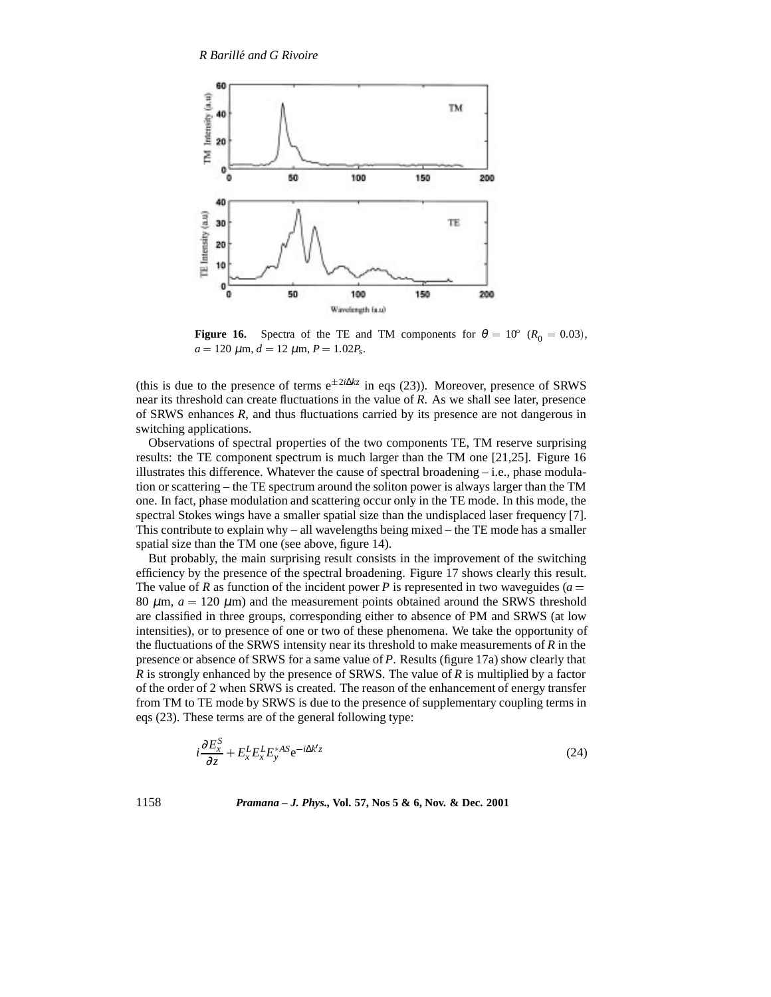

**Figure 16.** Spectra of the TE and TM components for  $\theta = 10^{\circ}$  ( $R_0 = 0.03$ ),  $a = 120 \mu \text{m}, d = 12 \mu \text{m}, P = 1.02 P_s.$ 

(this is due to the presence of terms  $e^{\pm 2i\Delta kz}$  in eqs (23)). Moreover, presence of SRWS near its threshold can create fluctuations in the value of *R*. As we shall see later, presence of SRWS enhances *R*, and thus fluctuations carried by its presence are not dangerous in switching applications.

Observations of spectral properties of the two components TE, TM reserve surprising results: the TE component spectrum is much larger than the TM one [21,25]. Figure 16 illustrates this difference. Whatever the cause of spectral broadening  $-$  i.e., phase modulation or scattering – the TE spectrum around the soliton power is always larger than the TM one. In fact, phase modulation and scattering occur only in the TE mode. In this mode, the spectral Stokes wings have a smaller spatial size than the undisplaced laser frequency [7]. This contribute to explain why – all wavelengths being mixed – the TE mode has a smaller spatial size than the TM one (see above, figure 14).

But probably, the main surprising result consists in the improvement of the switching efficiency by the presence of the spectral broadening. Figure 17 shows clearly this result. The value of *R* as function of the incident power *P* is represented in two waveguides ( $a =$ 80  $\mu$ m,  $a = 120 \mu$ m) and the measurement points obtained around the SRWS threshold are classified in three groups, corresponding either to absence of PM and SRWS (at low intensities), or to presence of one or two of these phenomena. We take the opportunity of the fluctuations of the SRWS intensity near its threshold to make measurements of  $R$  in the presence or absence of SRWS for a same value of *P*. Results (figure 17a) show clearly that *R* is strongly enhanced by the presence of SRWS. The value of *R* is multiplied by a factor of the order of 2 when SRWS is created. The reason of the enhancement of energy transfer from TM to TE mode by SRWS is due to the presence of supplementary coupling terms in eqs (23). These terms are of the general following type:

$$
i\frac{\partial E_x^S}{\partial z} + E_x^L E_x^L E_y^{*AS} e^{-i\Delta k'z}
$$
 (24)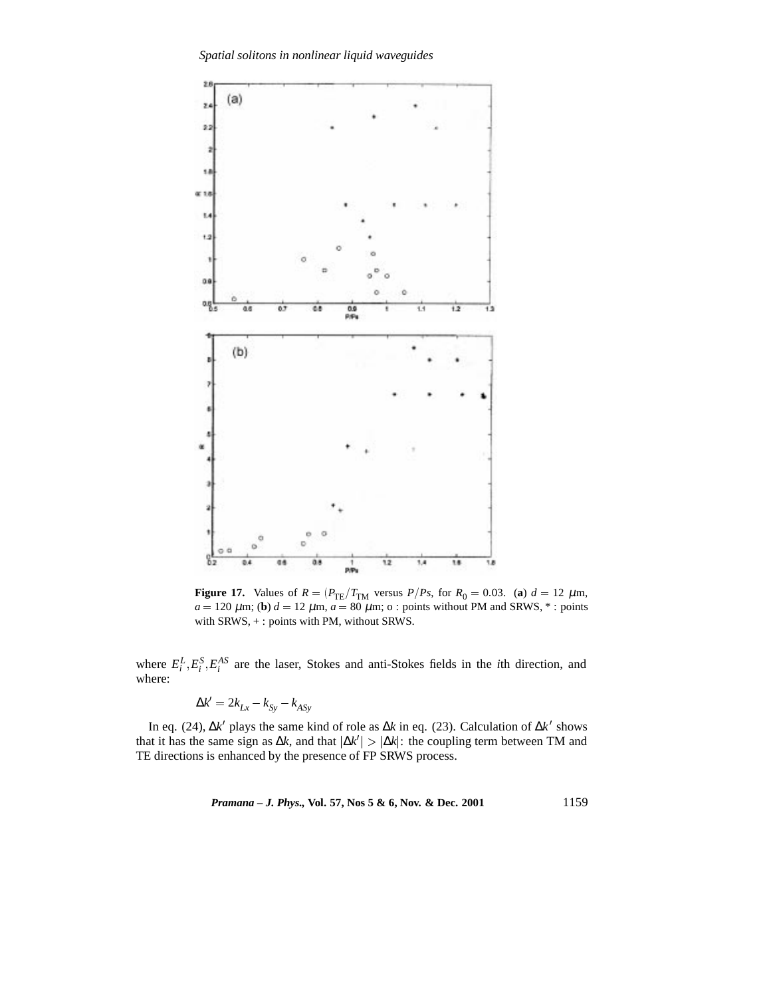*Spatial solitons in nonlinear liquid waveguides*



**Figure 17.** Values of  $R = (P_{TE}/T_{TM}$  versus  $P/Ps$ , for  $R_0 = 0.03$ . (**a**)  $d = 12 \mu m$ ,  $a = 120 \ \mu \text{m}$ ; (**b**)  $d = 12 \ \mu \text{m}$ ,  $a = 80 \ \mu \text{m}$ ; o : points without PM and SRWS,  $*$  : points with SRWS, + : points with PM, without SRWS.

where  $E_i^L$ ,  $E_i^S$ ,  $E_i^{AS}$  are the laser, Stokes and anti-Stokes fields in the *i*th direction, and where:

$$
\Delta k' = 2k_{Lx} - k_{Sy} - k_{ASy}
$$

In eq. (24), ∆*k'* plays the same kind of role as ∆*k* in eq. (23). Calculation of ∆*k'* shows that it has the same sign as  $\Delta k$ , and that  $|\Delta k'| > |\Delta k|$ : the coupling term between TM and TE directions is enhanced by the presence of FP SRWS process.

*Pramana – J. Phys.,* **Vol. 57, Nos 5 & 6, Nov. & Dec. 2001** 1159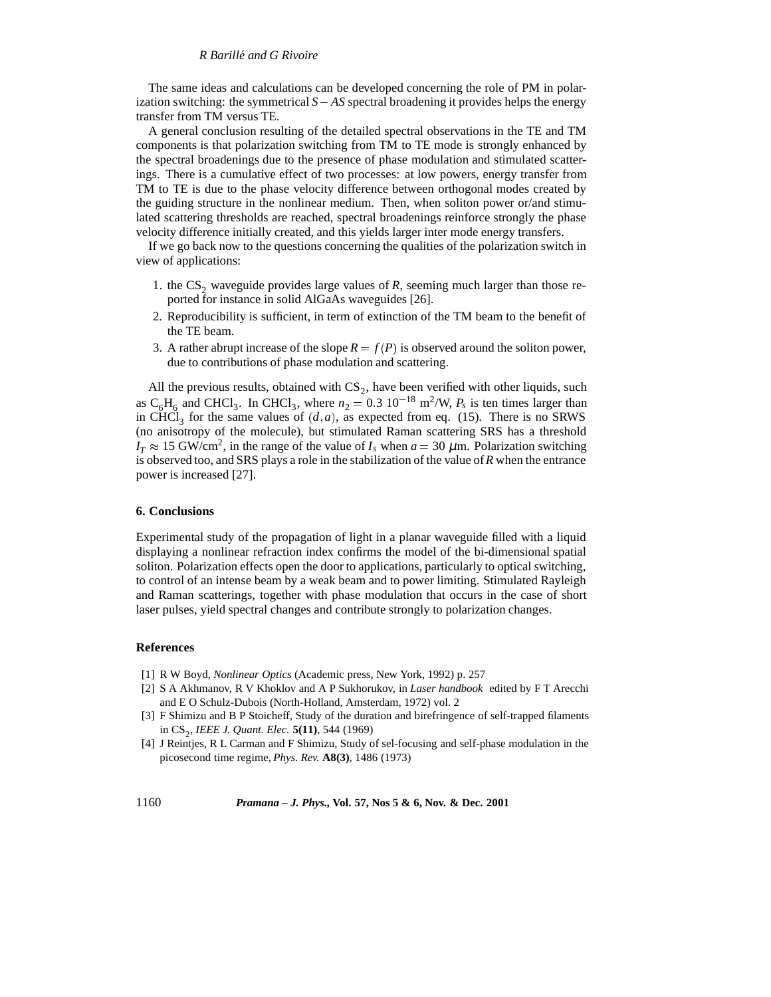#### *R Barille and G Rivoire ´*

The same ideas and calculations can be developed concerning the role of PM in polarization switching: the symmetrical  $S - AS$  spectral broadening it provides helps the energy transfer from TM versus TE.

A general conclusion resulting of the detailed spectral observations in the TE and TM components is that polarization switching from TM to TE mode is strongly enhanced by the spectral broadenings due to the presence of phase modulation and stimulated scatterings. There is a cumulative effect of two processes: at low powers, energy transfer from TM to TE is due to the phase velocity difference between orthogonal modes created by the guiding structure in the nonlinear medium. Then, when soliton power or/and stimulated scattering thresholds are reached, spectral broadenings reinforce strongly the phase velocity difference initially created, and this yields larger inter mode energy transfers.

If we go back now to the questions concerning the qualities of the polarization switch in view of applications:

- 1. the  $CS_2$  waveguide provides large values of  $R$ , seeming much larger than those reported for instance in solid AlGaAs waveguides [26].
- 2. Reproducibility is sufficient, in term of extinction of the TM beam to the benefit of the TE beam.
- 3. A rather abrupt increase of the slope  $R = f(P)$  is observed around the soliton power, due to contributions of phase modulation and scattering.

All the previous results, obtained with  $CS_2$ , have been verified with other liquids, such as  $C_6H_6$  and CHCl<sub>3</sub>. In CHCl<sub>3</sub>, where  $n_2 = 0.3 \times 10^{-18} \text{ m}^2/\text{W}$ ,  $P_s$  is ten times larger than in CHCl<sub>3</sub> for the same values of  $(d, a)$ , as expected from eq. (15). There is no SRWS (no anisotropy of the molecule), but stimulated Raman scattering SRS has a threshold  $I_T \approx 15$  GW/cm<sup>2</sup>, in the range of the value of  $I_s$  when  $a = 30 \mu$ m. Polarization switching is observed too, and SRS plays a role in the stabilization of the value of*R* when the entrance power is increased [27].

# **6. Conclusions**

Experimental study of the propagation of light in a planar waveguide filled with a liquid displaying a nonlinear refraction index confirms the model of the bi-dimensional spatial soliton. Polarization effects open the door to applications, particularly to optical switching, to control of an intense beam by a weak beam and to power limiting. Stimulated Rayleigh and Raman scatterings, together with phase modulation that occurs in the case of short laser pulses, yield spectral changes and contribute strongly to polarization changes.

# **References**

- [1] R W Boyd, *Nonlinear Optics* (Academic press, New York, 1992) p. 257
- [2] S A Akhmanov, R V Khoklov and A P Sukhorukov, in *Laser handbook* edited by F T Arecchi and E O Schulz-Dubois (North-Holland, Amsterdam, 1972) vol. 2
- [3] F Shimizu and B P Stoicheff, Study of the duration and birefringence of self-trapped filaments in CS2, *IEEE J. Quant. Elec.* **5(11)**, 544 (1969)
- [4] J Reintjes, R L Carman and F Shimizu, Study of sel-focusing and self-phase modulation in the picosecond time regime, *Phys. Rev.* **A8(3)**, 1486 (1973)